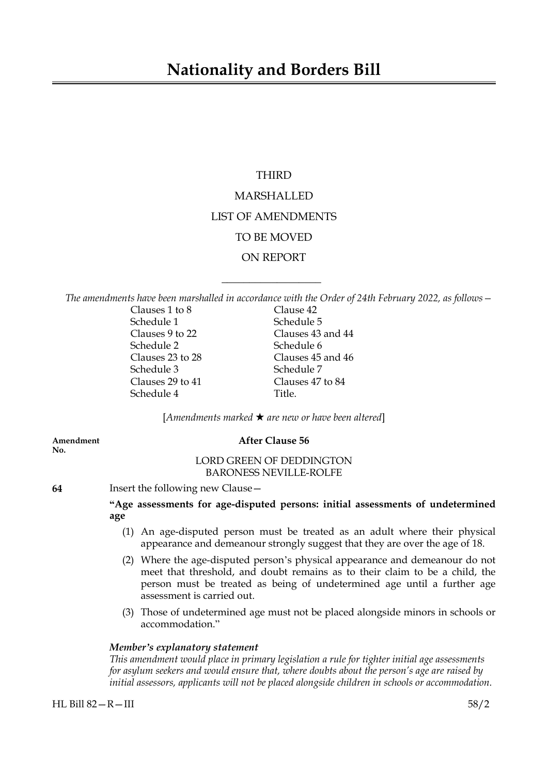## **Nationality and Borders Bill**

## THIRD

# MARSHALLED LIST OF AMENDMENTS TO BE MOVED ON REPORT

*The amendments have been marshalled in accordance with the Order of 24th February 2022, as follows—*

 $\overline{\phantom{a}}$  , where  $\overline{\phantom{a}}$ 

| Clauses 1 to 8   | Clause 42         |
|------------------|-------------------|
| Schedule 1       | Schedule 5        |
| Clauses 9 to 22  | Clauses 43 and 44 |
| Schedule 2       | Schedule 6        |
| Clauses 23 to 28 | Clauses 45 and 46 |
| Schedule 3       | Schedule 7        |
| Clauses 29 to 41 | Clauses 47 to 84  |
| Schedule 4       | Title.            |

[*Amendments marked* \* *are new or have been altered*]

**No.**

## **Amendment After Clause 56**

## LORD GREEN OF DEDDINGTON BARONESS NEVILLE-ROLFE

**64** Insert the following new Clause—

## **"Age assessments for age-disputed persons: initial assessments of undetermined age**

- (1) An age-disputed person must be treated as an adult where their physical appearance and demeanour strongly suggest that they are over the age of 18.
- (2) Where the age-disputed person's physical appearance and demeanour do not meet that threshold, and doubt remains as to their claim to be a child, the person must be treated as being of undetermined age until a further age assessment is carried out.
- (3) Those of undetermined age must not be placed alongside minors in schools or accommodation."

## *Member's explanatory statement*

*This amendment would place in primary legislation a rule for tighter initial age assessments for asylum seekers and would ensure that, where doubts about the person's age are raised by initial assessors, applicants will not be placed alongside children in schools or accommodation.*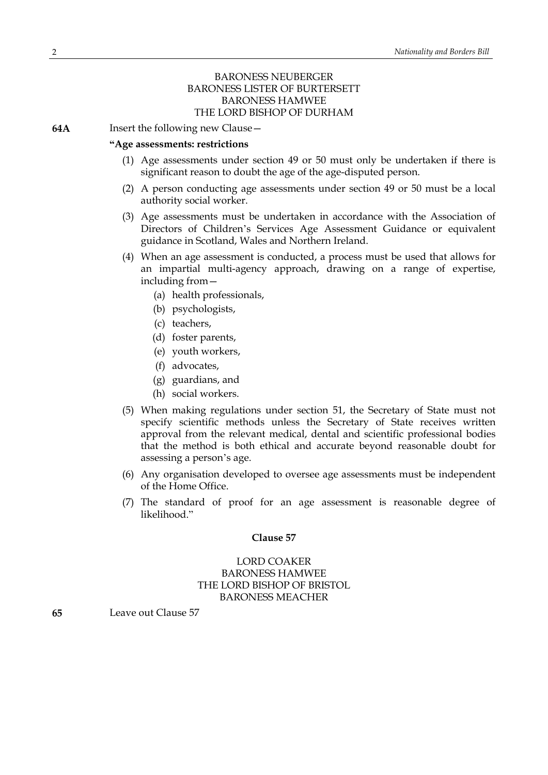## BARONESS NEUBERGER BARONESS LISTER OF BURTERSETT BARONESS HAMWEE THE LORD BISHOP OF DURHAM

**64A** Insert the following new Clause—

#### **"Age assessments: restrictions**

- (1) Age assessments under section 49 or 50 must only be undertaken if there is significant reason to doubt the age of the age-disputed person.
- (2) A person conducting age assessments under section 49 or 50 must be a local authority social worker.
- (3) Age assessments must be undertaken in accordance with the Association of Directors of Children's Services Age Assessment Guidance or equivalent guidance in Scotland, Wales and Northern Ireland.
- (4) When an age assessment is conducted, a process must be used that allows for an impartial multi-agency approach, drawing on a range of expertise, including from—
	- (a) health professionals,
	- (b) psychologists,
	- (c) teachers,
	- (d) foster parents,
	- (e) youth workers,
	- (f) advocates,
	- (g) guardians, and
	- (h) social workers.
- (5) When making regulations under section 51, the Secretary of State must not specify scientific methods unless the Secretary of State receives written approval from the relevant medical, dental and scientific professional bodies that the method is both ethical and accurate beyond reasonable doubt for assessing a person's age.
- (6) Any organisation developed to oversee age assessments must be independent of the Home Office.
- (7) The standard of proof for an age assessment is reasonable degree of likelihood."

#### **Clause 57**

## LORD COAKER BARONESS HAMWEE THE LORD BISHOP OF BRISTOL BARONESS MEACHER

**65** Leave out Clause 57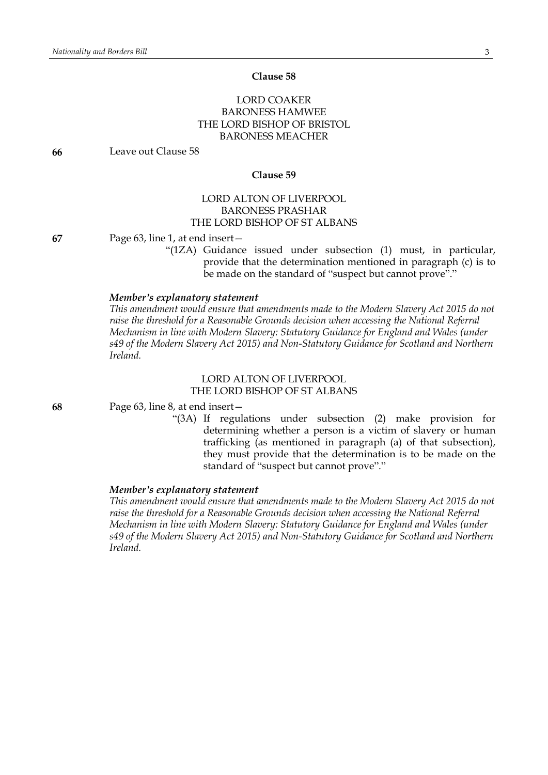#### **Clause 58**

## LORD COAKER BARONESS HAMWEE THE LORD BISHOP OF BRISTOL BARONESS MEACHER

**66** Leave out Clause 58

#### **Clause 59**

## LORD ALTON OF LIVERPOOL BARONESS PRASHAR THE LORD BISHOP OF ST ALBANS

**67** Page 63, line 1, at end insert—

"(1ZA) Guidance issued under subsection (1) must, in particular, provide that the determination mentioned in paragraph (c) is to be made on the standard of "suspect but cannot prove"."

## *Member's explanatory statement*

*This amendment would ensure that amendments made to the Modern Slavery Act 2015 do not raise the threshold for a Reasonable Grounds decision when accessing the National Referral Mechanism in line with Modern Slavery: Statutory Guidance for England and Wales (under s49 of the Modern Slavery Act 2015) and Non-Statutory Guidance for Scotland and Northern Ireland.*

## LORD ALTON OF LIVERPOOL THE LORD BISHOP OF ST ALBANS

**68** Page 63, line 8, at end insert—

"(3A) If regulations under subsection (2) make provision for determining whether a person is a victim of slavery or human trafficking (as mentioned in paragraph (a) of that subsection), they must provide that the determination is to be made on the standard of "suspect but cannot prove"."

#### *Member's explanatory statement*

*This amendment would ensure that amendments made to the Modern Slavery Act 2015 do not raise the threshold for a Reasonable Grounds decision when accessing the National Referral Mechanism in line with Modern Slavery: Statutory Guidance for England and Wales (under s49 of the Modern Slavery Act 2015) and Non-Statutory Guidance for Scotland and Northern Ireland.*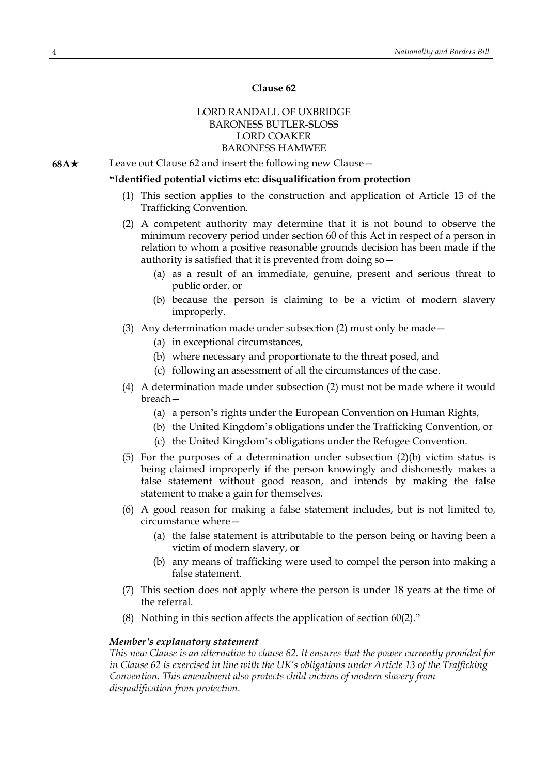## **Clause 62**

## LORD RANDALL OF UXBRIDGE BARONESS BUTLER-SLOSS LORD COAKER BARONESS HAMWEE

**68A**★ Leave out Clause 62 and insert the following new Clause —

## **"Identified potential victims etc: disqualification from protection**

- (1) This section applies to the construction and application of Article 13 of the Trafficking Convention.
- (2) A competent authority may determine that it is not bound to observe the minimum recovery period under section 60 of this Act in respect of a person in relation to whom a positive reasonable grounds decision has been made if the authority is satisfied that it is prevented from doing so—
	- (a) as a result of an immediate, genuine, present and serious threat to public order, or
	- (b) because the person is claiming to be a victim of modern slavery improperly.
- (3) Any determination made under subsection (2) must only be made—
	- (a) in exceptional circumstances,
	- (b) where necessary and proportionate to the threat posed, and
	- (c) following an assessment of all the circumstances of the case.
- (4) A determination made under subsection (2) must not be made where it would breach—
	- (a) a person's rights under the European Convention on Human Rights,
	- (b) the United Kingdom's obligations under the Trafficking Convention, or
	- (c) the United Kingdom's obligations under the Refugee Convention.
- (5) For the purposes of a determination under subsection (2)(b) victim status is being claimed improperly if the person knowingly and dishonestly makes a false statement without good reason, and intends by making the false statement to make a gain for themselves.
- (6) A good reason for making a false statement includes, but is not limited to, circumstance where—
	- (a) the false statement is attributable to the person being or having been a victim of modern slavery, or
	- (b) any means of trafficking were used to compel the person into making a false statement.
- (7) This section does not apply where the person is under 18 years at the time of the referral.
- (8) Nothing in this section affects the application of section 60(2)."

#### *Member's explanatory statement*

*This new Clause is an alternative to clause 62. It ensures that the power currently provided for in Clause 62 is exercised in line with the UK's obligations under Article 13 of the Trafficking Convention. This amendment also protects child victims of modern slavery from disqualification from protection.*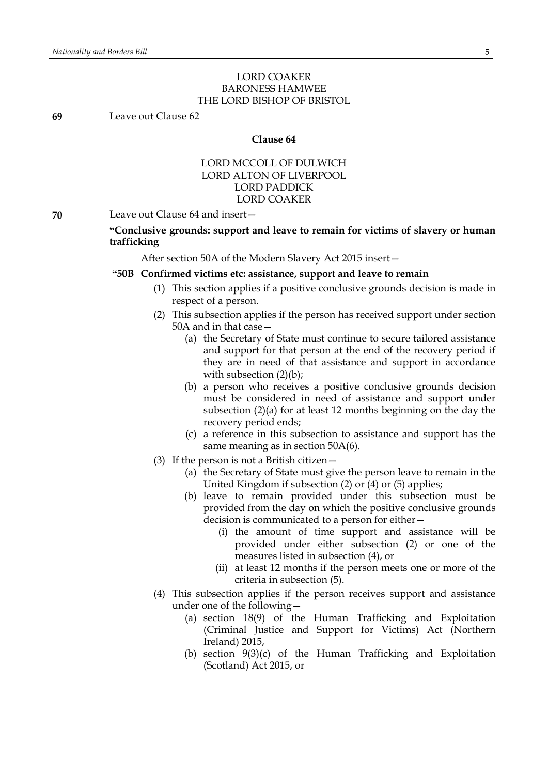## LORD COAKER BARONESS HAMWEE THE LORD BISHOP OF BRISTOL

**69** Leave out Clause 62

#### **Clause 64**

## LORD MCCOLL OF DULWICH LORD ALTON OF LIVERPOOL LORD PADDICK LORD COAKER

**70** Leave out Clause 64 and insert—

## **"Conclusive grounds: support and leave to remain for victims of slavery or human trafficking**

After section 50A of the Modern Slavery Act 2015 insert—

#### **"50B Confirmed victims etc: assistance, support and leave to remain**

- (1) This section applies if a positive conclusive grounds decision is made in respect of a person.
- (2) This subsection applies if the person has received support under section 50A and in that case—
	- (a) the Secretary of State must continue to secure tailored assistance and support for that person at the end of the recovery period if they are in need of that assistance and support in accordance with subsection  $(2)(b)$ ;
	- (b) a person who receives a positive conclusive grounds decision must be considered in need of assistance and support under subsection (2)(a) for at least 12 months beginning on the day the recovery period ends;
	- (c) a reference in this subsection to assistance and support has the same meaning as in section 50A(6).
- (3) If the person is not a British citizen—
	- (a) the Secretary of State must give the person leave to remain in the United Kingdom if subsection (2) or (4) or (5) applies;
	- (b) leave to remain provided under this subsection must be provided from the day on which the positive conclusive grounds decision is communicated to a person for either—
		- (i) the amount of time support and assistance will be provided under either subsection (2) or one of the measures listed in subsection (4), or
		- (ii) at least 12 months if the person meets one or more of the criteria in subsection (5).
- (4) This subsection applies if the person receives support and assistance under one of the following—
	- (a) section 18(9) of the Human Trafficking and Exploitation (Criminal Justice and Support for Victims) Act (Northern Ireland) 2015,
	- (b) section 9(3)(c) of the Human Trafficking and Exploitation (Scotland) Act 2015, or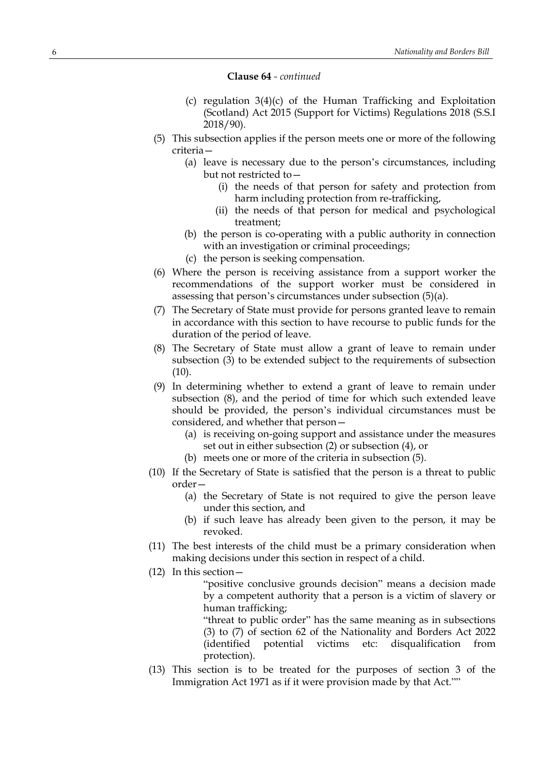#### **Clause 64** *- continued*

- (c) regulation 3(4)(c) of the Human Trafficking and Exploitation (Scotland) Act 2015 (Support for Victims) Regulations 2018 (S.S.I 2018/90).
- (5) This subsection applies if the person meets one or more of the following criteria—
	- (a) leave is necessary due to the person's circumstances, including but not restricted to—
		- (i) the needs of that person for safety and protection from harm including protection from re-trafficking,
		- (ii) the needs of that person for medical and psychological treatment;
	- (b) the person is co-operating with a public authority in connection with an investigation or criminal proceedings;
	- (c) the person is seeking compensation.
- (6) Where the person is receiving assistance from a support worker the recommendations of the support worker must be considered in assessing that person's circumstances under subsection (5)(a).
- (7) The Secretary of State must provide for persons granted leave to remain in accordance with this section to have recourse to public funds for the duration of the period of leave.
- (8) The Secretary of State must allow a grant of leave to remain under subsection (3) to be extended subject to the requirements of subsection  $(10).$
- (9) In determining whether to extend a grant of leave to remain under subsection (8), and the period of time for which such extended leave should be provided, the person's individual circumstances must be considered, and whether that person—
	- (a) is receiving on-going support and assistance under the measures set out in either subsection (2) or subsection (4), or
	- (b) meets one or more of the criteria in subsection (5).
- (10) If the Secretary of State is satisfied that the person is a threat to public order—
	- (a) the Secretary of State is not required to give the person leave under this section, and
	- (b) if such leave has already been given to the person, it may be revoked.
- (11) The best interests of the child must be a primary consideration when making decisions under this section in respect of a child.
- (12) In this section—

"positive conclusive grounds decision" means a decision made by a competent authority that a person is a victim of slavery or human trafficking;

"threat to public order" has the same meaning as in subsections (3) to (7) of section 62 of the Nationality and Borders Act 2022 (identified potential victims etc: disqualification from protection).

(13) This section is to be treated for the purposes of section 3 of the Immigration Act 1971 as if it were provision made by that Act.""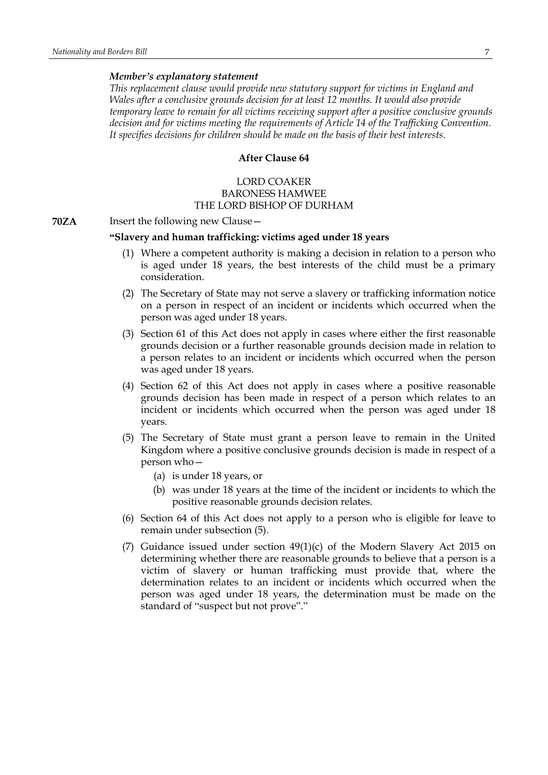#### *Member's explanatory statement*

*This replacement clause would provide new statutory support for victims in England and Wales after a conclusive grounds decision for at least 12 months. It would also provide temporary leave to remain for all victims receiving support after a positive conclusive grounds decision and for victims meeting the requirements of Article 14 of the Trafficking Convention. It specifies decisions for children should be made on the basis of their best interests.*

## **After Clause 64**

## LORD COAKER BARONESS HAMWEE THE LORD BISHOP OF DURHAM

**70ZA** Insert the following new Clause –

## **"Slavery and human trafficking: victims aged under 18 years**

- (1) Where a competent authority is making a decision in relation to a person who is aged under 18 years, the best interests of the child must be a primary consideration.
- (2) The Secretary of State may not serve a slavery or trafficking information notice on a person in respect of an incident or incidents which occurred when the person was aged under 18 years.
- (3) Section 61 of this Act does not apply in cases where either the first reasonable grounds decision or a further reasonable grounds decision made in relation to a person relates to an incident or incidents which occurred when the person was aged under 18 years.
- (4) Section 62 of this Act does not apply in cases where a positive reasonable grounds decision has been made in respect of a person which relates to an incident or incidents which occurred when the person was aged under 18 years.
- (5) The Secretary of State must grant a person leave to remain in the United Kingdom where a positive conclusive grounds decision is made in respect of a person who—
	- (a) is under 18 years, or
	- (b) was under 18 years at the time of the incident or incidents to which the positive reasonable grounds decision relates.
- (6) Section 64 of this Act does not apply to a person who is eligible for leave to remain under subsection (5).
- (7) Guidance issued under section  $49(1)(c)$  of the Modern Slavery Act 2015 on determining whether there are reasonable grounds to believe that a person is a victim of slavery or human trafficking must provide that, where the determination relates to an incident or incidents which occurred when the person was aged under 18 years, the determination must be made on the standard of "suspect but not prove"."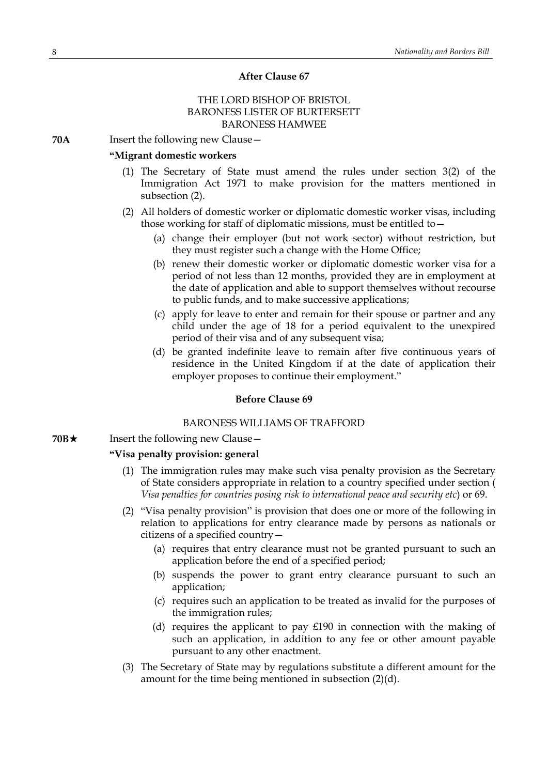#### **After Clause 67**

## THE LORD BISHOP OF BRISTOL BARONESS LISTER OF BURTERSETT BARONESS HAMWEE

**70A** Insert the following new Clause –

## **"Migrant domestic workers**

- (1) The Secretary of State must amend the rules under section 3(2) of the Immigration Act 1971 to make provision for the matters mentioned in subsection (2).
- (2) All holders of domestic worker or diplomatic domestic worker visas, including those working for staff of diplomatic missions, must be entitled to—
	- (a) change their employer (but not work sector) without restriction, but they must register such a change with the Home Office;
	- (b) renew their domestic worker or diplomatic domestic worker visa for a period of not less than 12 months, provided they are in employment at the date of application and able to support themselves without recourse to public funds, and to make successive applications;
	- (c) apply for leave to enter and remain for their spouse or partner and any child under the age of 18 for a period equivalent to the unexpired period of their visa and of any subsequent visa;
	- (d) be granted indefinite leave to remain after five continuous years of residence in the United Kingdom if at the date of application their employer proposes to continue their employment."

#### **Before Clause 69**

#### BARONESS WILLIAMS OF TRAFFORD

**70B** $\star$  Insert the following new Clause

#### **"Visa penalty provision: general**

- (1) The immigration rules may make such visa penalty provision as the Secretary of State considers appropriate in relation to a country specified under section ( *Visa penalties for countries posing risk to international peace and security etc*) or 69.
- (2) "Visa penalty provision" is provision that does one or more of the following in relation to applications for entry clearance made by persons as nationals or citizens of a specified country—
	- (a) requires that entry clearance must not be granted pursuant to such an application before the end of a specified period;
	- (b) suspends the power to grant entry clearance pursuant to such an application;
	- (c) requires such an application to be treated as invalid for the purposes of the immigration rules;
	- (d) requires the applicant to pay £190 in connection with the making of such an application, in addition to any fee or other amount payable pursuant to any other enactment.
- (3) The Secretary of State may by regulations substitute a different amount for the amount for the time being mentioned in subsection (2)(d).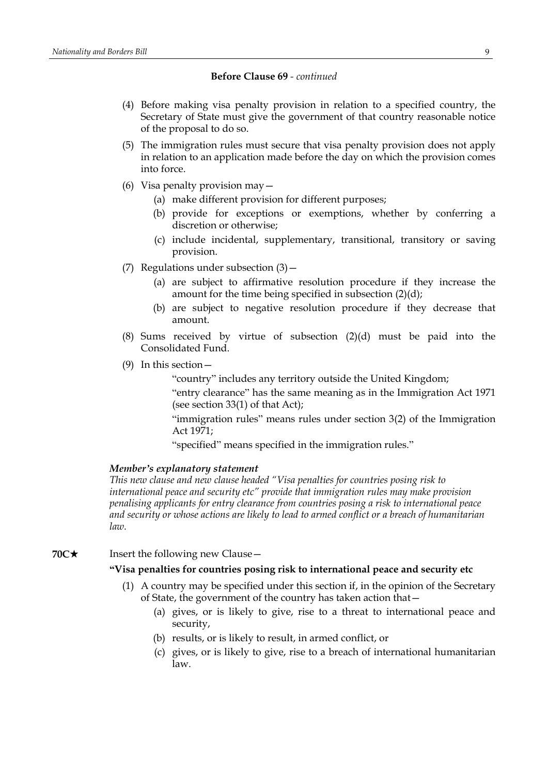## **Before Clause 69** *- continued*

- (4) Before making visa penalty provision in relation to a specified country, the Secretary of State must give the government of that country reasonable notice of the proposal to do so.
- (5) The immigration rules must secure that visa penalty provision does not apply in relation to an application made before the day on which the provision comes into force.
- (6) Visa penalty provision may—
	- (a) make different provision for different purposes;
	- (b) provide for exceptions or exemptions, whether by conferring a discretion or otherwise;
	- (c) include incidental, supplementary, transitional, transitory or saving provision.
- (7) Regulations under subsection (3)—
	- (a) are subject to affirmative resolution procedure if they increase the amount for the time being specified in subsection (2)(d);
	- (b) are subject to negative resolution procedure if they decrease that amount.
- (8) Sums received by virtue of subsection (2)(d) must be paid into the Consolidated Fund.
- (9) In this section—

"country" includes any territory outside the United Kingdom;

"entry clearance" has the same meaning as in the Immigration Act 1971 (see section 33(1) of that Act);

"immigration rules" means rules under section 3(2) of the Immigration Act 1971;

"specified" means specified in the immigration rules."

#### *Member's explanatory statement*

*This new clause and new clause headed "Visa penalties for countries posing risk to international peace and security etc" provide that immigration rules may make provision penalising applicants for entry clearance from countries posing a risk to international peace and security or whose actions are likely to lead to armed conflict or a breach of humanitarian law.*

## **70C**★ Insert the following new Clause —

## **"Visa penalties for countries posing risk to international peace and security etc**

- (1) A country may be specified under this section if, in the opinion of the Secretary of State, the government of the country has taken action that—
	- (a) gives, or is likely to give, rise to a threat to international peace and security,
	- (b) results, or is likely to result, in armed conflict, or
	- (c) gives, or is likely to give, rise to a breach of international humanitarian law.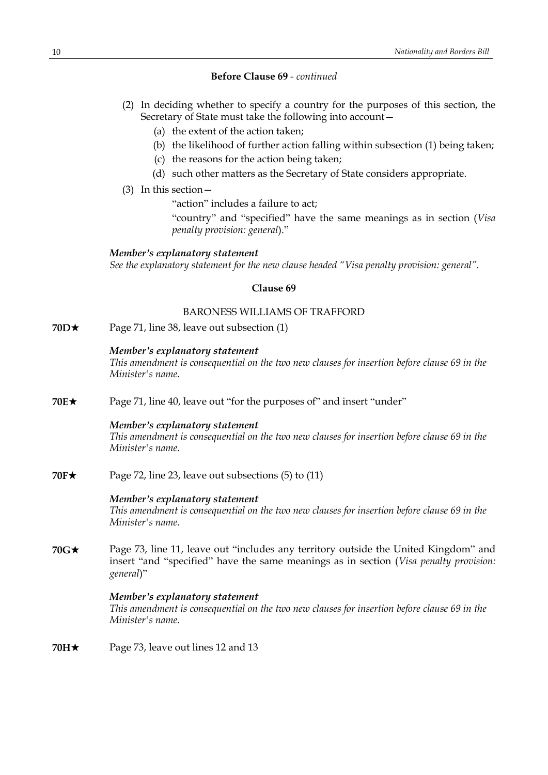## **Before Clause 69** *- continued*

- (2) In deciding whether to specify a country for the purposes of this section, the Secretary of State must take the following into account—
	- (a) the extent of the action taken;
	- (b) the likelihood of further action falling within subsection (1) being taken;
	- (c) the reasons for the action being taken;
	- (d) such other matters as the Secretary of State considers appropriate.
- (3) In this section—

"action" includes a failure to act;

"country" and "specified" have the same meanings as in section (*Visa penalty provision: general*)."

## *Member's explanatory statement*

*See the explanatory statement for the new clause headed "Visa penalty provision: general".*

## **Clause 69**

## BARONESS WILLIAMS OF TRAFFORD

**70D**★ Page 71, line 38, leave out subsection (1)

## *Member's explanatory statement*

*This amendment is consequential on the two new clauses for insertion before clause 69 in the Minister's name.*

**70E**★ Page 71, line 40, leave out "for the purposes of" and insert "under"

## *Member's explanatory statement*

*This amendment is consequential on the two new clauses for insertion before clause 69 in the Minister's name.*

**70F★** Page 72, line 23, leave out subsections (5) to (11)

#### *Member's explanatory statement*

*This amendment is consequential on the two new clauses for insertion before clause 69 in the Minister's name.*

**70G**\* Page 73, line 11, leave out "includes any territory outside the United Kingdom" and insert "and "specified" have the same meanings as in section (*Visa penalty provision: general*)"

## *Member's explanatory statement*

*This amendment is consequential on the two new clauses for insertion before clause 69 in the Minister's name.*

**70H**★ Page 73, leave out lines 12 and 13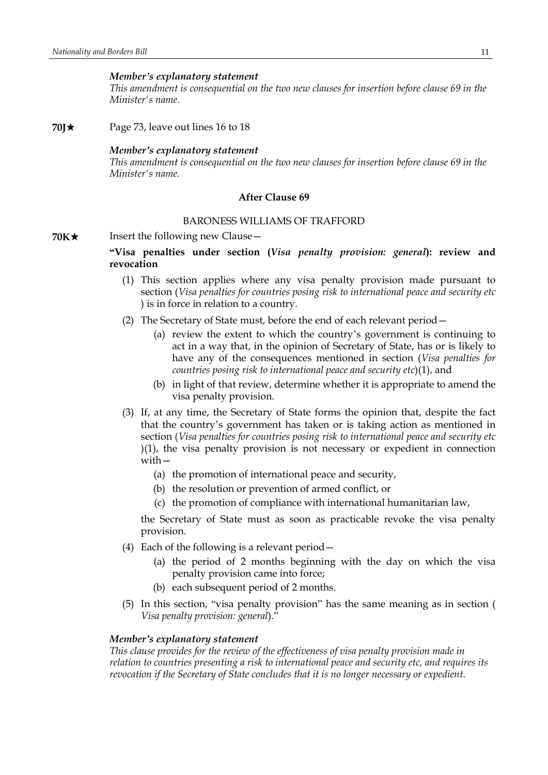#### *Member's explanatory statement*

*This amendment is consequential on the two new clauses for insertion before clause 69 in the Minister's name.*

**70J**\* Page 73, leave out lines 16 to 18

#### *Member's explanatory statement*

*This amendment is consequential on the two new clauses for insertion before clause 69 in the Minister's name.*

## **After Clause 69**

## BARONESS WILLIAMS OF TRAFFORD

**70K★** Insert the following new Clause —

## **"Visa penalties under section (***Visa penalty provision: general***): review and revocation**

- (1) This section applies where any visa penalty provision made pursuant to section (*Visa penalties for countries posing risk to international peace and security etc* ) is in force in relation to a country.
- (2) The Secretary of State must, before the end of each relevant period—
	- (a) review the extent to which the country's government is continuing to act in a way that, in the opinion of Secretary of State, has or is likely to have any of the consequences mentioned in section (*Visa penalties for countries posing risk to international peace and security etc*)(1), and
	- (b) in light of that review, determine whether it is appropriate to amend the visa penalty provision.
- (3) If, at any time, the Secretary of State forms the opinion that, despite the fact that the country's government has taken or is taking action as mentioned in section (*Visa penalties for countries posing risk to international peace and security etc* )(1), the visa penalty provision is not necessary or expedient in connection with—
	- (a) the promotion of international peace and security,
	- (b) the resolution or prevention of armed conflict, or
	- (c) the promotion of compliance with international humanitarian law,

the Secretary of State must as soon as practicable revoke the visa penalty provision.

- (4) Each of the following is a relevant period—
	- (a) the period of 2 months beginning with the day on which the visa penalty provision came into force;
	- (b) each subsequent period of 2 months.
- (5) In this section, "visa penalty provision" has the same meaning as in section ( *Visa penalty provision: general*)."

#### *Member's explanatory statement*

*This clause provides for the review of the effectiveness of visa penalty provision made in relation to countries presenting a risk to international peace and security etc, and requires its revocation if the Secretary of State concludes that it is no longer necessary or expedient.*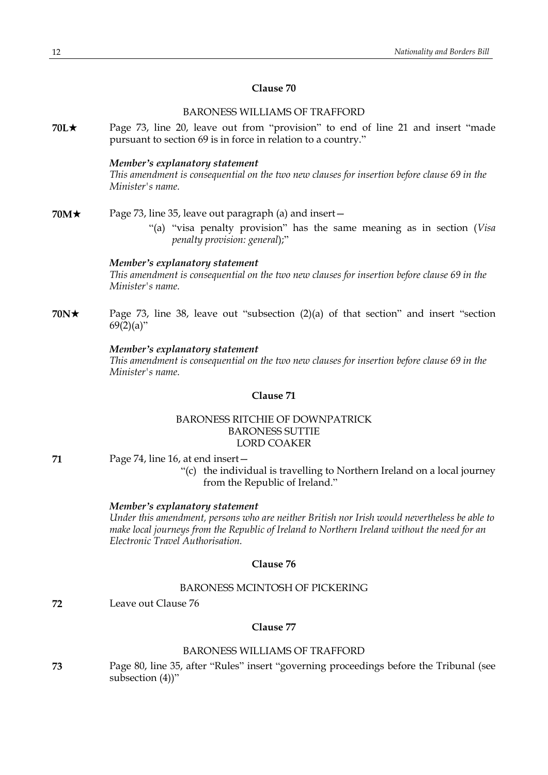## **Clause 70**

## BARONESS WILLIAMS OF TRAFFORD

**70L**\* Page 73, line 20, leave out from "provision" to end of line 21 and insert "made pursuant to section 69 is in force in relation to a country."

#### *Member's explanatory statement*

*This amendment is consequential on the two new clauses for insertion before clause 69 in the Minister's name.*

- **70M** $\star$  Page 73, line 35, leave out paragraph (a) and insert −
	- "(a) "visa penalty provision" has the same meaning as in section (*Visa penalty provision: general*);"

#### *Member's explanatory statement*

*This amendment is consequential on the two new clauses for insertion before clause 69 in the Minister's name.*

**70N**\* Page 73, line 38, leave out "subsection (2)(a) of that section" and insert "section  $69(2)(a)$ "

## *Member's explanatory statement*

*This amendment is consequential on the two new clauses for insertion before clause 69 in the Minister's name.*

#### **Clause 71**

## BARONESS RITCHIE OF DOWNPATRICK BARONESS SUTTIE LORD COAKER

- 
- **71** Page 74, line 16, at end insert—
	- "(c) the individual is travelling to Northern Ireland on a local journey from the Republic of Ireland."

#### *Member's explanatory statement*

*Under this amendment, persons who are neither British nor Irish would nevertheless be able to make local journeys from the Republic of Ireland to Northern Ireland without the need for an Electronic Travel Authorisation.*

## **Clause 76**

## BARONESS MCINTOSH OF PICKERING

**72** Leave out Clause 76

## **Clause 77**

## BARONESS WILLIAMS OF TRAFFORD

**73** Page 80, line 35, after "Rules" insert "governing proceedings before the Tribunal (see subsection (4))"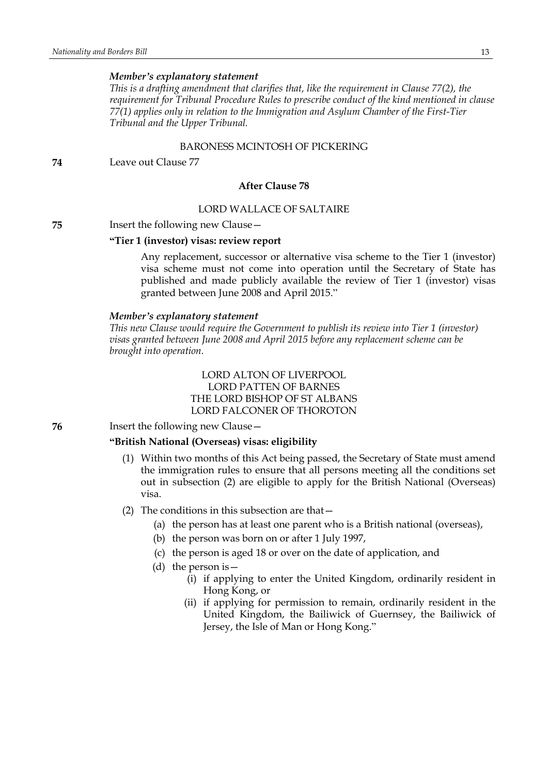#### *Member's explanatory statement*

*This is a drafting amendment that clarifies that, like the requirement in Clause 77(2), the requirement for Tribunal Procedure Rules to prescribe conduct of the kind mentioned in clause 77(1) applies only in relation to the Immigration and Asylum Chamber of the First-Tier Tribunal and the Upper Tribunal.*

#### BARONESS MCINTOSH OF PICKERING

**74** Leave out Clause 77

## **After Clause 78**

## LORD WALLACE OF SALTAIRE

#### **75** Insert the following new Clause—

## **"Tier 1 (investor) visas: review report**

Any replacement, successor or alternative visa scheme to the Tier 1 (investor) visa scheme must not come into operation until the Secretary of State has published and made publicly available the review of Tier 1 (investor) visas granted between June 2008 and April 2015."

#### *Member's explanatory statement*

*This new Clause would require the Government to publish its review into Tier 1 (investor) visas granted between June 2008 and April 2015 before any replacement scheme can be brought into operation.*

## LORD ALTON OF LIVERPOOL LORD PATTEN OF BARNES THE LORD BISHOP OF ST ALBANS LORD FALCONER OF THOROTON

**76** Insert the following new Clause—

#### **"British National (Overseas) visas: eligibility**

- (1) Within two months of this Act being passed, the Secretary of State must amend the immigration rules to ensure that all persons meeting all the conditions set out in subsection (2) are eligible to apply for the British National (Overseas) visa.
- (2) The conditions in this subsection are that  $-$ 
	- (a) the person has at least one parent who is a British national (overseas),
	- (b) the person was born on or after 1 July 1997,
	- (c) the person is aged 18 or over on the date of application, and
	- (d) the person is—
		- (i) if applying to enter the United Kingdom, ordinarily resident in Hong Kong, or
		- (ii) if applying for permission to remain, ordinarily resident in the United Kingdom, the Bailiwick of Guernsey, the Bailiwick of Jersey, the Isle of Man or Hong Kong."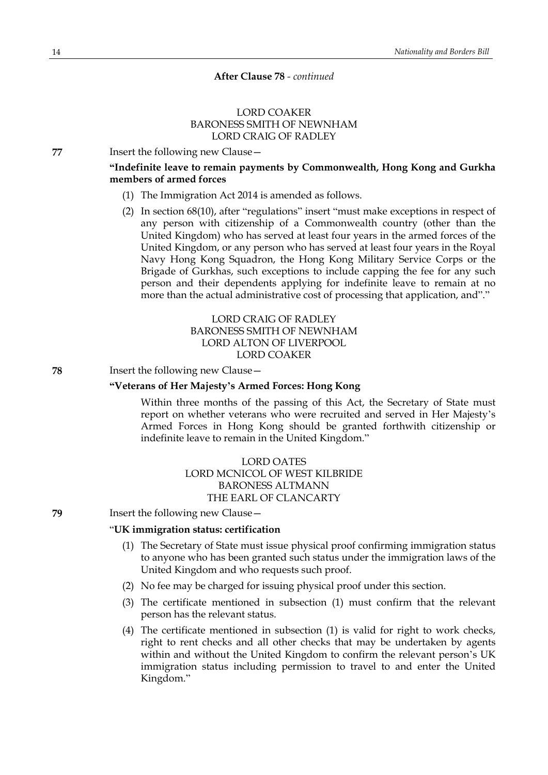#### **After Clause 78** *- continued*

## LORD COAKER BARONESS SMITH OF NEWNHAM LORD CRAIG OF RADLEY

**77** Insert the following new Clause—

## **"Indefinite leave to remain payments by Commonwealth, Hong Kong and Gurkha members of armed forces**

- (1) The Immigration Act 2014 is amended as follows.
- (2) In section 68(10), after "regulations" insert "must make exceptions in respect of any person with citizenship of a Commonwealth country (other than the United Kingdom) who has served at least four years in the armed forces of the United Kingdom, or any person who has served at least four years in the Royal Navy Hong Kong Squadron, the Hong Kong Military Service Corps or the Brigade of Gurkhas, such exceptions to include capping the fee for any such person and their dependents applying for indefinite leave to remain at no more than the actual administrative cost of processing that application, and"."

## LORD CRAIG OF RADLEY BARONESS SMITH OF NEWNHAM LORD ALTON OF LIVERPOOL LORD COAKER

**78** Insert the following new Clause—

## **"Veterans of Her Majesty's Armed Forces: Hong Kong**

Within three months of the passing of this Act, the Secretary of State must report on whether veterans who were recruited and served in Her Majesty's Armed Forces in Hong Kong should be granted forthwith citizenship or indefinite leave to remain in the United Kingdom."

> LORD OATES LORD MCNICOL OF WEST KILBRIDE BARONESS ALTMANN THE EARL OF CLANCARTY

**79** Insert the following new Clause—

## "**UK immigration status: certification**

- (1) The Secretary of State must issue physical proof confirming immigration status to anyone who has been granted such status under the immigration laws of the United Kingdom and who requests such proof.
- (2) No fee may be charged for issuing physical proof under this section.
- (3) The certificate mentioned in subsection (1) must confirm that the relevant person has the relevant status.
- (4) The certificate mentioned in subsection (1) is valid for right to work checks, right to rent checks and all other checks that may be undertaken by agents within and without the United Kingdom to confirm the relevant person's UK immigration status including permission to travel to and enter the United Kingdom."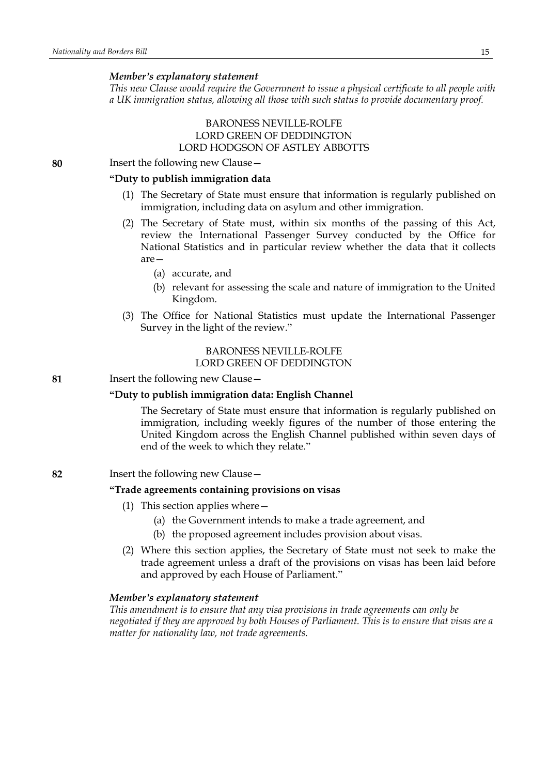#### *Member's explanatory statement*

*This new Clause would require the Government to issue a physical certificate to all people with a UK immigration status, allowing all those with such status to provide documentary proof.*

## BARONESS NEVILLE-ROLFE LORD GREEN OF DEDDINGTON LORD HODGSON OF ASTLEY ABBOTTS

**80** Insert the following new Clause—

## **"Duty to publish immigration data**

- (1) The Secretary of State must ensure that information is regularly published on immigration, including data on asylum and other immigration.
- (2) The Secretary of State must, within six months of the passing of this Act, review the International Passenger Survey conducted by the Office for National Statistics and in particular review whether the data that it collects are—
	- (a) accurate, and
	- (b) relevant for assessing the scale and nature of immigration to the United Kingdom.
- (3) The Office for National Statistics must update the International Passenger Survey in the light of the review."

#### BARONESS NEVILLE-ROLFE LORD GREEN OF DEDDINGTON

**81** Insert the following new Clause—

#### **"Duty to publish immigration data: English Channel**

The Secretary of State must ensure that information is regularly published on immigration, including weekly figures of the number of those entering the United Kingdom across the English Channel published within seven days of end of the week to which they relate."

**82** Insert the following new Clause—

#### **"Trade agreements containing provisions on visas**

- (1) This section applies where—
	- (a) the Government intends to make a trade agreement, and
	- (b) the proposed agreement includes provision about visas.
- (2) Where this section applies, the Secretary of State must not seek to make the trade agreement unless a draft of the provisions on visas has been laid before and approved by each House of Parliament."

#### *Member's explanatory statement*

*This amendment is to ensure that any visa provisions in trade agreements can only be negotiated if they are approved by both Houses of Parliament. This is to ensure that visas are a matter for nationality law, not trade agreements.*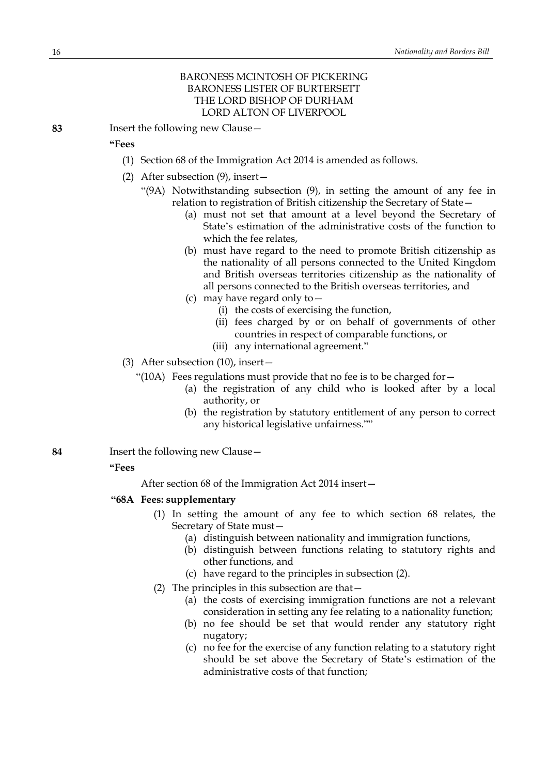## BARONESS MCINTOSH OF PICKERING BARONESS LISTER OF BURTERSETT THE LORD BISHOP OF DURHAM LORD ALTON OF LIVERPOOL

**83** Insert the following new Clause—

## **"Fees**

- (1) Section 68 of the Immigration Act 2014 is amended as follows.
- (2) After subsection (9), insert—
	- "(9A) Notwithstanding subsection (9), in setting the amount of any fee in relation to registration of British citizenship the Secretary of State—
		- (a) must not set that amount at a level beyond the Secretary of State's estimation of the administrative costs of the function to which the fee relates,
		- (b) must have regard to the need to promote British citizenship as the nationality of all persons connected to the United Kingdom and British overseas territories citizenship as the nationality of all persons connected to the British overseas territories, and
		- (c) may have regard only to—
			- (i) the costs of exercising the function,
			- (ii) fees charged by or on behalf of governments of other countries in respect of comparable functions, or
			- (iii) any international agreement."
- (3) After subsection (10), insert—
	- "(10A) Fees regulations must provide that no fee is to be charged for—
		- (a) the registration of any child who is looked after by a local authority, or
		- (b) the registration by statutory entitlement of any person to correct any historical legislative unfairness.""
- **84** Insert the following new Clause—

#### **"Fees**

After section 68 of the Immigration Act 2014 insert—

- **"68A Fees: supplementary**
	- (1) In setting the amount of any fee to which section 68 relates, the Secretary of State must—
		- (a) distinguish between nationality and immigration functions,
		- (b) distinguish between functions relating to statutory rights and other functions, and
		- (c) have regard to the principles in subsection (2).
	- (2) The principles in this subsection are that—
		- (a) the costs of exercising immigration functions are not a relevant consideration in setting any fee relating to a nationality function;
		- (b) no fee should be set that would render any statutory right nugatory;
		- (c) no fee for the exercise of any function relating to a statutory right should be set above the Secretary of State's estimation of the administrative costs of that function;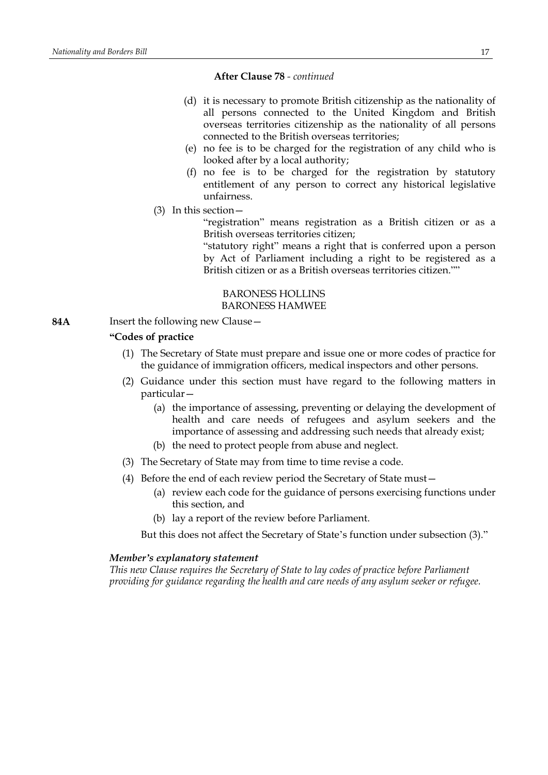#### **After Clause 78** *- continued*

- (d) it is necessary to promote British citizenship as the nationality of all persons connected to the United Kingdom and British overseas territories citizenship as the nationality of all persons connected to the British overseas territories;
- (e) no fee is to be charged for the registration of any child who is looked after by a local authority;
- (f) no fee is to be charged for the registration by statutory entitlement of any person to correct any historical legislative unfairness.
- (3) In this section—

"registration" means registration as a British citizen or as a British overseas territories citizen;

"statutory right" means a right that is conferred upon a person by Act of Parliament including a right to be registered as a British citizen or as a British overseas territories citizen.""

#### BARONESS HOLLINS BARONESS HAMWEE

**84A** Insert the following new Clause—

## **"Codes of practice**

- (1) The Secretary of State must prepare and issue one or more codes of practice for the guidance of immigration officers, medical inspectors and other persons.
- (2) Guidance under this section must have regard to the following matters in particular—
	- (a) the importance of assessing, preventing or delaying the development of health and care needs of refugees and asylum seekers and the importance of assessing and addressing such needs that already exist;
	- (b) the need to protect people from abuse and neglect.
- (3) The Secretary of State may from time to time revise a code.
- (4) Before the end of each review period the Secretary of State must—
	- (a) review each code for the guidance of persons exercising functions under this section, and
	- (b) lay a report of the review before Parliament.

But this does not affect the Secretary of State's function under subsection (3)."

#### *Member's explanatory statement*

*This new Clause requires the Secretary of State to lay codes of practice before Parliament providing for guidance regarding the health and care needs of any asylum seeker or refugee.*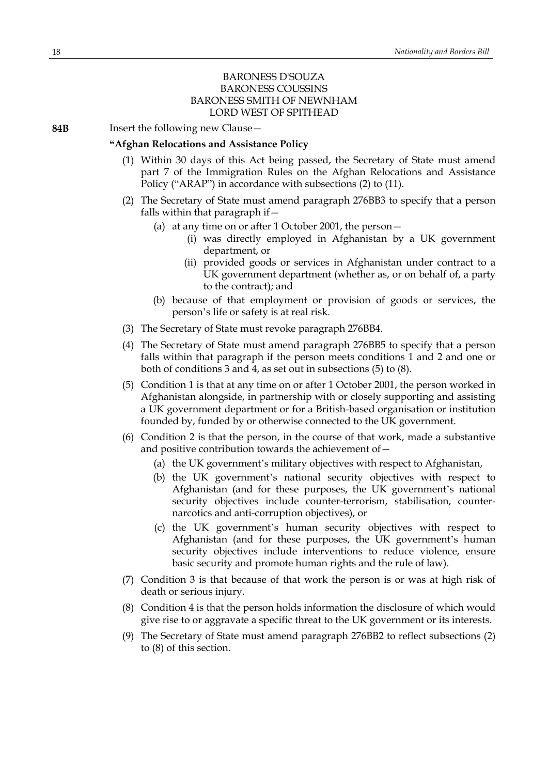## BARONESS D'SOUZA BARONESS COUSSINS BARONESS SMITH OF NEWNHAM LORD WEST OF SPITHEAD

**84B** Insert the following new Clause—

#### **"Afghan Relocations and Assistance Policy**

- (1) Within 30 days of this Act being passed, the Secretary of State must amend part 7 of the Immigration Rules on the Afghan Relocations and Assistance Policy ("ARAP") in accordance with subsections (2) to (11).
- (2) The Secretary of State must amend paragraph 276BB3 to specify that a person falls within that paragraph if  $-$ 
	- (a) at any time on or after 1 October 2001, the person—
		- (i) was directly employed in Afghanistan by a UK government department, or
		- (ii) provided goods or services in Afghanistan under contract to a UK government department (whether as, or on behalf of, a party to the contract); and
	- (b) because of that employment or provision of goods or services, the person's life or safety is at real risk.
- (3) The Secretary of State must revoke paragraph 276BB4.
- (4) The Secretary of State must amend paragraph 276BB5 to specify that a person falls within that paragraph if the person meets conditions 1 and 2 and one or both of conditions 3 and 4, as set out in subsections (5) to (8).
- (5) Condition 1 is that at any time on or after 1 October 2001, the person worked in Afghanistan alongside, in partnership with or closely supporting and assisting a UK government department or for a British-based organisation or institution founded by, funded by or otherwise connected to the UK government.
- (6) Condition 2 is that the person, in the course of that work, made a substantive and positive contribution towards the achievement of—
	- (a) the UK government's military objectives with respect to Afghanistan,
	- (b) the UK government's national security objectives with respect to Afghanistan (and for these purposes, the UK government's national security objectives include counter-terrorism, stabilisation, counternarcotics and anti-corruption objectives), or
	- (c) the UK government's human security objectives with respect to Afghanistan (and for these purposes, the UK government's human security objectives include interventions to reduce violence, ensure basic security and promote human rights and the rule of law).
- (7) Condition 3 is that because of that work the person is or was at high risk of death or serious injury.
- (8) Condition 4 is that the person holds information the disclosure of which would give rise to or aggravate a specific threat to the UK government or its interests.
- (9) The Secretary of State must amend paragraph 276BB2 to reflect subsections (2) to (8) of this section.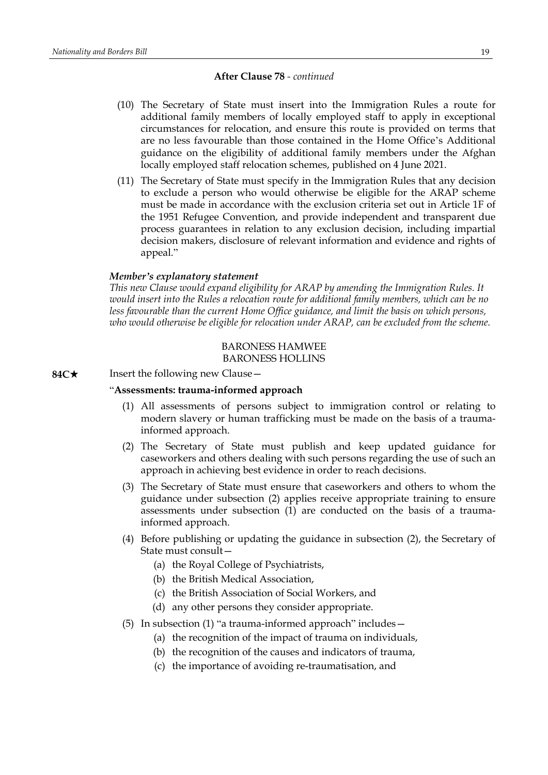#### **After Clause 78** *- continued*

- (10) The Secretary of State must insert into the Immigration Rules a route for additional family members of locally employed staff to apply in exceptional circumstances for relocation, and ensure this route is provided on terms that are no less favourable than those contained in the Home Office's Additional guidance on the eligibility of additional family members under the Afghan locally employed staff relocation schemes, published on 4 June 2021.
- (11) The Secretary of State must specify in the Immigration Rules that any decision to exclude a person who would otherwise be eligible for the ARAP scheme must be made in accordance with the exclusion criteria set out in Article 1F of the 1951 Refugee Convention, and provide independent and transparent due process guarantees in relation to any exclusion decision, including impartial decision makers, disclosure of relevant information and evidence and rights of appeal."

#### *Member's explanatory statement*

*This new Clause would expand eligibility for ARAP by amending the Immigration Rules. It would insert into the Rules a relocation route for additional family members, which can be no less favourable than the current Home Office guidance, and limit the basis on which persons, who would otherwise be eligible for relocation under ARAP, can be excluded from the scheme.*

#### BARONESS HAMWEE BARONESS HOLLINS

**84C**★ Insert the following new Clause

#### "**Assessments: trauma-informed approach**

- (1) All assessments of persons subject to immigration control or relating to modern slavery or human trafficking must be made on the basis of a traumainformed approach.
- (2) The Secretary of State must publish and keep updated guidance for caseworkers and others dealing with such persons regarding the use of such an approach in achieving best evidence in order to reach decisions.
- (3) The Secretary of State must ensure that caseworkers and others to whom the guidance under subsection (2) applies receive appropriate training to ensure assessments under subsection (1) are conducted on the basis of a traumainformed approach.
- (4) Before publishing or updating the guidance in subsection (2), the Secretary of State must consult—
	- (a) the Royal College of Psychiatrists,
	- (b) the British Medical Association,
	- (c) the British Association of Social Workers, and
	- (d) any other persons they consider appropriate.
- (5) In subsection (1) "a trauma-informed approach" includes—
	- (a) the recognition of the impact of trauma on individuals,
	- (b) the recognition of the causes and indicators of trauma,
	- (c) the importance of avoiding re-traumatisation, and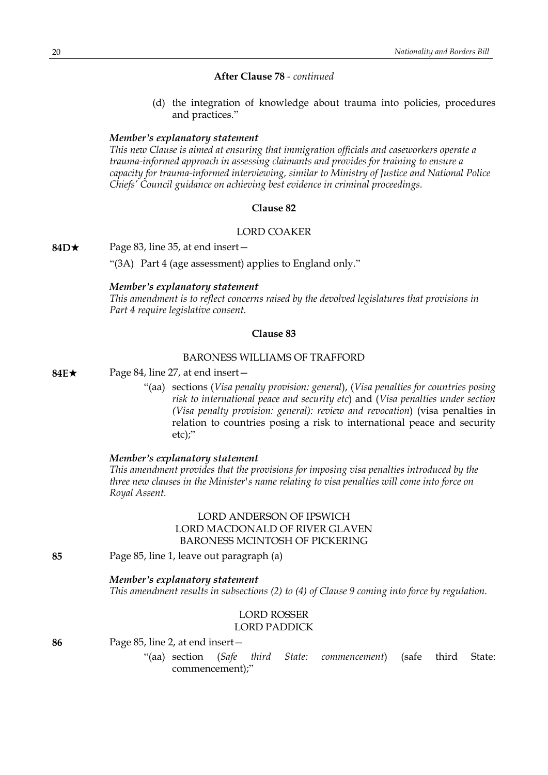## **After Clause 78** *- continued*

(d) the integration of knowledge about trauma into policies, procedures and practices."

#### *Member's explanatory statement*

*This new Clause is aimed at ensuring that immigration officials and caseworkers operate a trauma-informed approach in assessing claimants and provides for training to ensure a capacity for trauma-informed interviewing, similar to Ministry of Justice and National Police Chiefs' Council guidance on achieving best evidence in criminal proceedings.*

#### **Clause 82**

#### LORD COAKER

**84D**★ Page 83, line 35, at end insert—

"(3A) Part 4 (age assessment) applies to England only."

#### *Member's explanatory statement*

*This amendment is to reflect concerns raised by the devolved legislatures that provisions in Part 4 require legislative consent.*

#### **Clause 83**

## BARONESS WILLIAMS OF TRAFFORD

**84E**\* Page 84, line 27, at end insert—

"(aa) sections (*Visa penalty provision: general*), (*Visa penalties for countries posing risk to international peace and security etc*) and (*Visa penalties under section (Visa penalty provision: general): review and revocation*) (visa penalties in relation to countries posing a risk to international peace and security etc);"

#### *Member's explanatory statement*

*This amendment provides that the provisions for imposing visa penalties introduced by the three new clauses in the Minister's name relating to visa penalties will come into force on Royal Assent.*

## LORD ANDERSON OF IPSWICH LORD MACDONALD OF RIVER GLAVEN BARONESS MCINTOSH OF PICKERING

**85** Page 85, line 1, leave out paragraph (a)

## *Member's explanatory statement*

*This amendment results in subsections (2) to (4) of Clause 9 coming into force by regulation.*

## LORD ROSSER LORD PADDICK

**86** Page 85, line 2, at end insert—

"(aa) section (*Safe third State: commencement*) (safe third State: commencement);"